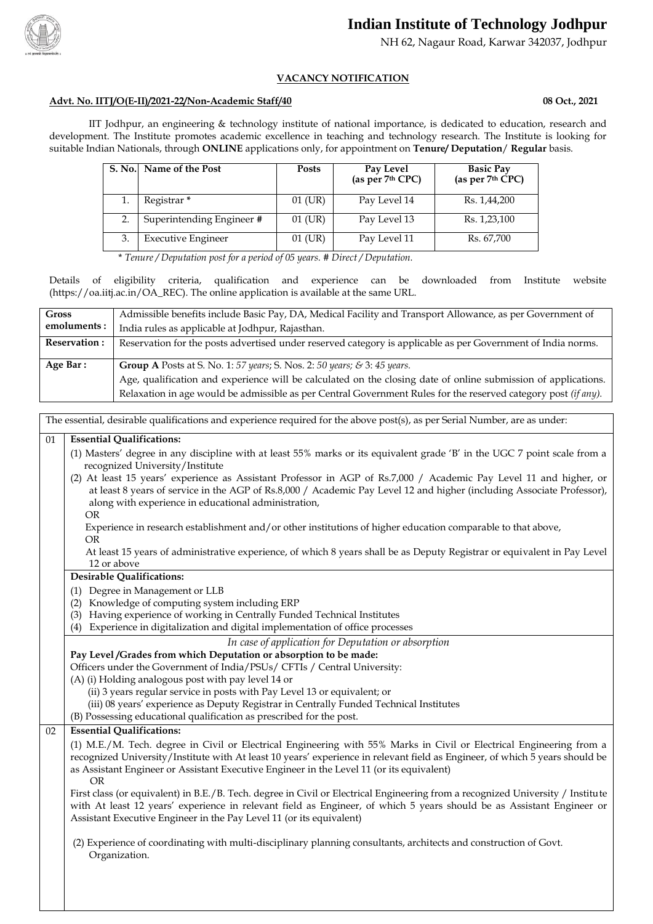

# **Indian Institute of Technology Jodhpur**

NH 62, Nagaur Road, Karwar 342037, Jodhpur

## **VACANCY NOTIFICATION**

#### **Advt. No. IITJ/O(E-II)/2021-22/Non-Academic Staff/40 08 Oct., 2021**

IIT Jodhpur, an engineering & technology institute of national importance, is dedicated to education, research and development. The Institute promotes academic excellence in teaching and technology research. The Institute is looking for suitable Indian Nationals, through **ONLINE** applications only, for appointment on **Tenure/ Deputation**/ **Regular** basis.

| S. No. Name of the Post   | <b>Posts</b> | Pay Level<br>(as per 7th CPC) | <b>Basic Pay</b><br>(as per $7th$ CPC) |
|---------------------------|--------------|-------------------------------|----------------------------------------|
| Registrar <sup>*</sup>    | $01$ (UR)    | Pay Level 14                  | Rs. 1,44,200                           |
| Superintending Engineer # | $01$ (UR)    | Pay Level 13                  | Rs. 1,23,100                           |
| <b>Executive Engineer</b> | 01 (UR)      | Pay Level 11                  | Rs. 67,700                             |

\* *Tenure / Deputation post for a period of 05 years. # Direct / Deputation.*

Details of eligibility criteria, qualification and experience can be downloaded from Institute website (https://oa.iitj.ac.in[/OA\\_REC\)](http://www.iitj.ac.in:8080/OA_REC). The online application is available at the same URL.

| <b>Gross</b>        | Admissible benefits include Basic Pay, DA, Medical Facility and Transport Allowance, as per Government of      |
|---------------------|----------------------------------------------------------------------------------------------------------------|
|                     |                                                                                                                |
| emoluments:         | India rules as applicable at Jodhpur, Rajasthan.                                                               |
| <b>Reservation:</b> | Reservation for the posts advertised under reserved category is applicable as per Government of India norms.   |
|                     |                                                                                                                |
|                     |                                                                                                                |
| Age Bar:            | <b>Group A</b> Posts at S. No. 1: 57 years; S. Nos. 2: 50 years; & 3: 45 years.                                |
|                     | Age, qualification and experience will be calculated on the closing date of online submission of applications. |

The essential, desirable qualifications and experience required for the above post(s), as per Serial Number, are as under:

#### 01 **Essential Qualifications:**

(1) Masters' degree in any discipline with at least 55% marks or its equivalent grade 'B' in the UGC 7 point scale from a recognized University/Institute

- (2) At least 15 years' experience as Assistant Professor in AGP of Rs.7,000 / Academic Pay Level 11 and higher, or at least 8 years of service in the AGP of Rs.8,000 / Academic Pay Level 12 and higher (including Associate Professor), along with experience in educational administration,
	- OR

 Experience in research establishment and/or other institutions of higher education comparable to that above, OR

 At least 15 years of administrative experience, of which 8 years shall be as Deputy Registrar or equivalent in Pay Level 12 or above

- **Desirable Qualifications:**
- (1) Degree in Management or LLB
- (2) Knowledge of computing system including ERP
- (3) Having experience of working in Centrally Funded Technical Institutes
- (4) Experience in digitalization and digital implementation of office processes

*In case of application for Deputation or absorption*

#### **Pay Level /Grades from which Deputation or absorption to be made:**

Officers under the Government of India/PSUs/ CFTIs / Central University:

(A) (i) Holding analogous post with pay level 14 or

(ii) 3 years regular service in posts with Pay Level 13 or equivalent; or

(iii) 08 years' experience as Deputy Registrar in Centrally Funded Technical Institutes

(B) Possessing educational qualification as prescribed for the post.

## 02 **Essential Qualifications:**

(1) M.E./M. Tech. degree in Civil or Electrical Engineering with 55% Marks in Civil or Electrical Engineering from a recognized University/Institute with At least 10 years' experience in relevant field as Engineer, of which 5 years should be as Assistant Engineer or Assistant Executive Engineer in the Level 11 (or its equivalent) OR

First class (or equivalent) in B.E./B. Tech. degree in Civil or Electrical Engineering from a recognized University / Institute with At least 12 years' experience in relevant field as Engineer, of which 5 years should be as Assistant Engineer or Assistant Executive Engineer in the Pay Level 11 (or its equivalent)

(2) Experience of coordinating with multi-disciplinary planning consultants, architects and construction of Govt. Organization.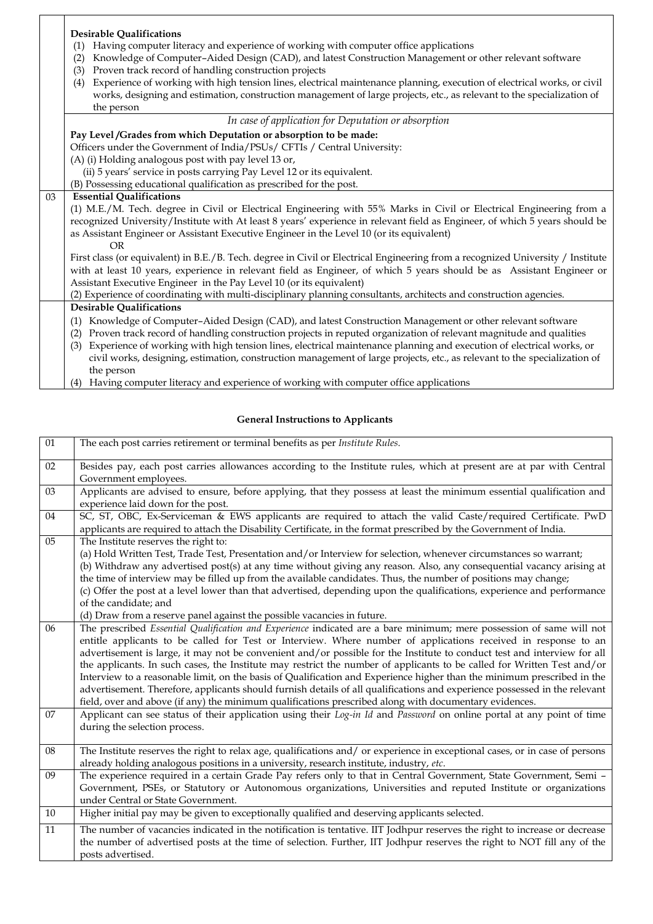|    | <b>Desirable Qualifications</b>                                                                                                 |  |  |  |
|----|---------------------------------------------------------------------------------------------------------------------------------|--|--|--|
|    | Having computer literacy and experience of working with computer office applications<br>(1)                                     |  |  |  |
|    | Knowledge of Computer-Aided Design (CAD), and latest Construction Management or other relevant software<br>(2)                  |  |  |  |
|    | Proven track record of handling construction projects<br>(3)                                                                    |  |  |  |
|    | Experience of working with high tension lines, electrical maintenance planning, execution of electrical works, or civil<br>(4)  |  |  |  |
|    | works, designing and estimation, construction management of large projects, etc., as relevant to the specialization of          |  |  |  |
|    | the person                                                                                                                      |  |  |  |
|    | In case of application for Deputation or absorption                                                                             |  |  |  |
|    | Pay Level/Grades from which Deputation or absorption to be made:                                                                |  |  |  |
|    | Officers under the Government of India/PSUs/ CFTIs / Central University:                                                        |  |  |  |
|    | (A) (i) Holding analogous post with pay level 13 or,                                                                            |  |  |  |
|    | (ii) 5 years' service in posts carrying Pay Level 12 or its equivalent.                                                         |  |  |  |
|    | (B) Possessing educational qualification as prescribed for the post.                                                            |  |  |  |
| 03 | <b>Essential Qualifications</b>                                                                                                 |  |  |  |
|    | (1) M.E./M. Tech. degree in Civil or Electrical Engineering with 55% Marks in Civil or Electrical Engineering from a            |  |  |  |
|    | recognized University/Institute with At least 8 years' experience in relevant field as Engineer, of which 5 years should be     |  |  |  |
|    | as Assistant Engineer or Assistant Executive Engineer in the Level 10 (or its equivalent)                                       |  |  |  |
|    | <b>OR</b>                                                                                                                       |  |  |  |
|    | First class (or equivalent) in B.E./B. Tech. degree in Civil or Electrical Engineering from a recognized University / Institute |  |  |  |
|    | with at least 10 years, experience in relevant field as Engineer, of which 5 years should be as Assistant Engineer or           |  |  |  |
|    | Assistant Executive Engineer in the Pay Level 10 (or its equivalent)                                                            |  |  |  |
|    | (2) Experience of coordinating with multi-disciplinary planning consultants, architects and construction agencies.              |  |  |  |
|    | <b>Desirable Qualifications</b>                                                                                                 |  |  |  |
|    | Knowledge of Computer-Aided Design (CAD), and latest Construction Management or other relevant software<br>(1)                  |  |  |  |
|    | Proven track record of handling construction projects in reputed organization of relevant magnitude and qualities<br>(2)        |  |  |  |
|    | Experience of working with high tension lines, electrical maintenance planning and execution of electrical works, or<br>(3)     |  |  |  |
|    | civil works, designing, estimation, construction management of large projects, etc., as relevant to the specialization of       |  |  |  |
|    | the person                                                                                                                      |  |  |  |
|    | (4) Having computer literacy and experience of working with computer office applications                                        |  |  |  |

## **General Instructions to Applicants**

| 01 | The each post carries retirement or terminal benefits as per Institute Rules.                                                                                                                                                                                                                                                                                                                                                                                                                                                                                                                                                                                                                                                                                                                                                                                    |
|----|------------------------------------------------------------------------------------------------------------------------------------------------------------------------------------------------------------------------------------------------------------------------------------------------------------------------------------------------------------------------------------------------------------------------------------------------------------------------------------------------------------------------------------------------------------------------------------------------------------------------------------------------------------------------------------------------------------------------------------------------------------------------------------------------------------------------------------------------------------------|
| 02 | Besides pay, each post carries allowances according to the Institute rules, which at present are at par with Central<br>Government employees.                                                                                                                                                                                                                                                                                                                                                                                                                                                                                                                                                                                                                                                                                                                    |
| 03 | Applicants are advised to ensure, before applying, that they possess at least the minimum essential qualification and<br>experience laid down for the post.                                                                                                                                                                                                                                                                                                                                                                                                                                                                                                                                                                                                                                                                                                      |
| 04 | SC, ST, OBC, Ex-Serviceman & EWS applicants are required to attach the valid Caste/required Certificate. PwD<br>applicants are required to attach the Disability Certificate, in the format prescribed by the Government of India.                                                                                                                                                                                                                                                                                                                                                                                                                                                                                                                                                                                                                               |
| 05 | The Institute reserves the right to:<br>(a) Hold Written Test, Trade Test, Presentation and/or Interview for selection, whenever circumstances so warrant;<br>(b) Withdraw any advertised post(s) at any time without giving any reason. Also, any consequential vacancy arising at<br>the time of interview may be filled up from the available candidates. Thus, the number of positions may change;<br>(c) Offer the post at a level lower than that advertised, depending upon the qualifications, experience and performance<br>of the candidate; and<br>(d) Draw from a reserve panel against the possible vacancies in future.                                                                                                                                                                                                                            |
| 06 | The prescribed Essential Qualification and Experience indicated are a bare minimum; mere possession of same will not<br>entitle applicants to be called for Test or Interview. Where number of applications received in response to an<br>advertisement is large, it may not be convenient and/or possible for the Institute to conduct test and interview for all<br>the applicants. In such cases, the Institute may restrict the number of applicants to be called for Written Test and/or<br>Interview to a reasonable limit, on the basis of Qualification and Experience higher than the minimum prescribed in the<br>advertisement. Therefore, applicants should furnish details of all qualifications and experience possessed in the relevant<br>field, over and above (if any) the minimum qualifications prescribed along with documentary evidences. |
| 07 | Applicant can see status of their application using their Log-in Id and Password on online portal at any point of time<br>during the selection process.                                                                                                                                                                                                                                                                                                                                                                                                                                                                                                                                                                                                                                                                                                          |
| 08 | The Institute reserves the right to relax age, qualifications and/ or experience in exceptional cases, or in case of persons<br>already holding analogous positions in a university, research institute, industry, etc.                                                                                                                                                                                                                                                                                                                                                                                                                                                                                                                                                                                                                                          |
| 09 | The experience required in a certain Grade Pay refers only to that in Central Government, State Government, Semi -<br>Government, PSEs, or Statutory or Autonomous organizations, Universities and reputed Institute or organizations<br>under Central or State Government.                                                                                                                                                                                                                                                                                                                                                                                                                                                                                                                                                                                      |
| 10 | Higher initial pay may be given to exceptionally qualified and deserving applicants selected.                                                                                                                                                                                                                                                                                                                                                                                                                                                                                                                                                                                                                                                                                                                                                                    |
| 11 | The number of vacancies indicated in the notification is tentative. IIT Jodhpur reserves the right to increase or decrease<br>the number of advertised posts at the time of selection. Further, IIT Jodhpur reserves the right to NOT fill any of the<br>posts advertised.                                                                                                                                                                                                                                                                                                                                                                                                                                                                                                                                                                                       |